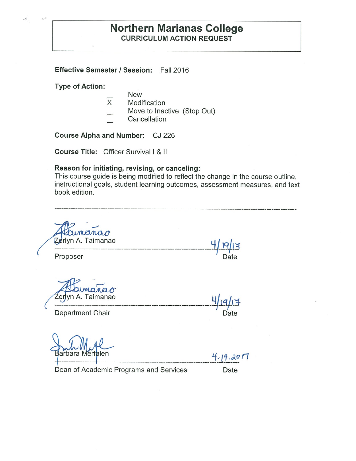# **Northern Marianas College CURRICULUM ACTION REQUEST**

**Effective Semester/ Session:** Fall 2016

**Type of Action:** 

 $\label{eq:3.1} \mathbf{a}^{(p)} = \mathbf{a}^{(p)}$ 

- New
- $\overline{X}$ Modification
- Move to Inactive (Stop Out)
- **Cancellation**

**Course Alpha and Number:** CJ 226

**Course Title:** Officer Survival I & II

# **Reason for initiating, revising, or canceling:**

This course guide is being modified to reflect the change in the course outline, instructional goals, student learning outcomes, assessment measures, and text book edition.

| umanao<br>Zerlyn A. Taimanao           |           |  |
|----------------------------------------|-----------|--|
| Proposer                               | Date      |  |
| manao<br>Źerlyn A. Taimanao            |           |  |
| Department Chair                       | Date      |  |
|                                        |           |  |
|                                        |           |  |
| Barbara Merfalen                       | 4.19.2017 |  |
| Dean of Academic Programs and Services | Date      |  |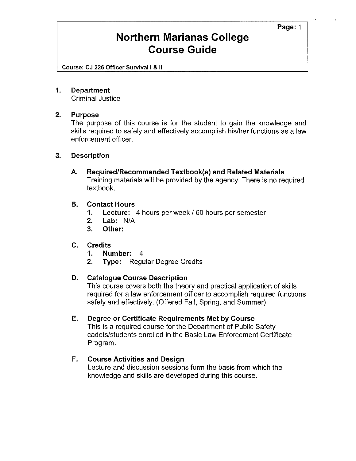#### **Page:** 1

# **Northern Marianas College Course Guide**

Course: CJ 226 Officer Survival I & II

### **1. Department**

Criminal Justice

# **2. Purpose**

The purpose of this course is for the student to gain the knowledge and skills required to safely and effectively accomplish his/her functions as a law enforcement officer.

### **3. Description**

**A. Required/Recommended Textbook{s) and Related Materials**  Training materials will be provided by the agency. There is no required textbook.

### **B. Contact Hours**

- **1. Lecture:** 4 hours per week/ 60 hours per semester
- **2. Lab:** N/A
- **3. Other:**

# **C. Credits**

- **1. Number:** 4
- **2. Type:** Regular Degree Credits

# **D. Catalogue Course Description**

This course covers both the theory and practical application of skills required for a law enforcement officer to accomplish required functions safely and effectively. (Offered Fall, Spring, and Summer)

#### **E. Degree or Certificate Requirements Met by Course**

This is a required course for the Department of Public Safety cadets/students enrolled in the Basic Law Enforcement Certificate Program.

# **F. Course Activities and Design**

Lecture and discussion sessions form the basis from which the knowledge and skills are developed during this course.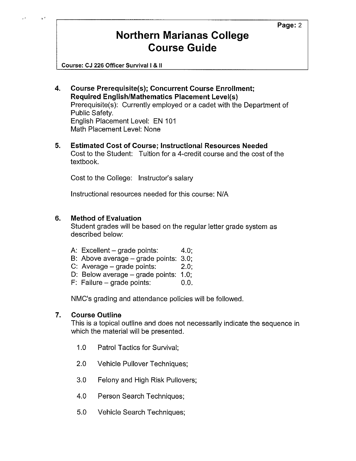# **Northern Marianas College Course Guide**

Course: CJ 226 Officer Survival I & II

- **4. Course Prerequisite(s); Concurrent Course Enrollment; Required English/Mathematics Placement Level(s)**  Prerequisite(s): Currently employed or a cadet with the Department of Public Safety. English Placement Level: EN 101 Math Placement Level: None
- **5. Estimated Cost of Course; Instructional Resources Needed**  Cost to the Student: Tuition for a 4-credit course and the cost of the textbook.

Cost to the College: Instructor's salary

Instructional resources needed for this course: N/A

# **6. Method of Evaluation**

Student grades will be based on the regular letter grade system as described below:

- A: Excellent grade points:  $4.0$ ;
- B: Above average grade points: 3.0;
- C: Average  $-$  grade points:  $2.0$ ;
- D: Below average  $-$  grade points: 1.0;
- F: Failure grade points:  $0.0$ .

NMC's grading and attendance policies will be followed.

#### **7. Course Outline**

This is a topical outline and does not necessarily indicate the sequence in which the material will be presented.

- 1.0 Patrol Tactics for Survival;
- 2.0 Vehicle Pullover Techniques;
- 3.0 Felony and High Risk Pullovers;
- 4.0 Person Search Techniques;
- 5.0 Vehicle Search Techniques;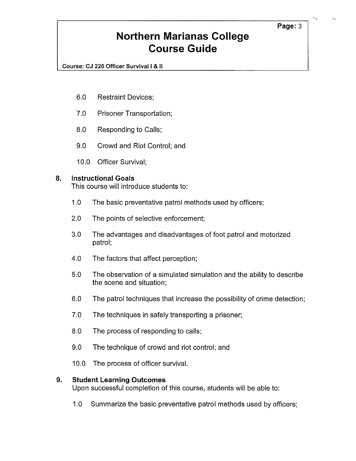### Page: 3

# **Northern Marianas College Course Guide**

Course: CJ 226 Officer Survival I & II

- 6.0 Restraint Devices;
- 7.0 Prisoner Transportation;
- 8.0 Responding to Calls;
- 9.0 Crowd and Riot Control; and
- 10.0 Officer Survival;

#### **8. Instructional Goals**

This course will introduce students to:

- 1.0 The basic preventative patrol methods used by officers;
- 2.0 The points of selective enforcement;
- 3.0 The advantages and disadvantages of foot patrol and motorized patrol;
- 4.0 The factors that affect perception;
- 5.0 The observation of a simulated simulation and the ability to describe the scene and situation;
- 6.0 The patrol techniques that increase the possibility of crime detection;
- 7.0 The techniques in safely transporting a prisoner;
- 8.0 The process of responding to calls;
- 9.0 The technique of crowd and riot control; and
- 10.0 The process of officer survival.

#### **9. Student Learning Outcomes**

Upon successful completion of this course, students will be able to:

1.0 Summarize the basic preventative patrol methods used by officers;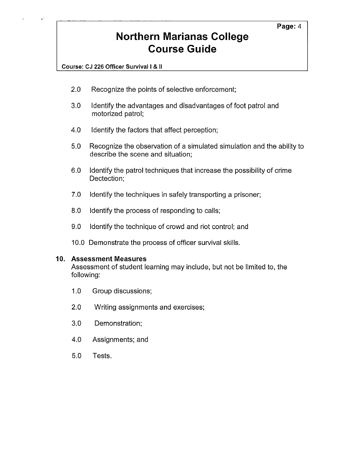# **Northern Marianas College Course Guide**

**Course: CJ 226 Officer Survival** I & II

- 2.0 Recognize the points of selective enforcement;
- 3.0 Identify the advantages and disadvantages of foot patrol and motorized patrol;
- 4.0 Identify the factors that affect perception;
- 5.0 Recognize the observation of a simulated simulation and the ability to describe the scene and situation;
- 6.0 Identify the patrol techniques that increase the possibility of crime Dectection;
- 7.0 Identify the techniques in safely transporting a prisoner;
- 8.0 Identify the process of responding to calls;
- 9.0 Identify the technique of crowd and riot control; and
- 10.0 Demonstrate the process of officer survival skills.

#### **10. Assessment Measures**

Assessment of student learning may include, but not be limited to, the following:

- 1.0 Group discussions;
- 2.0 Writing assignments and exercises;
- 3.0 Demonstration;
- 4.0 Assignments; and
- 5.0 Tests.